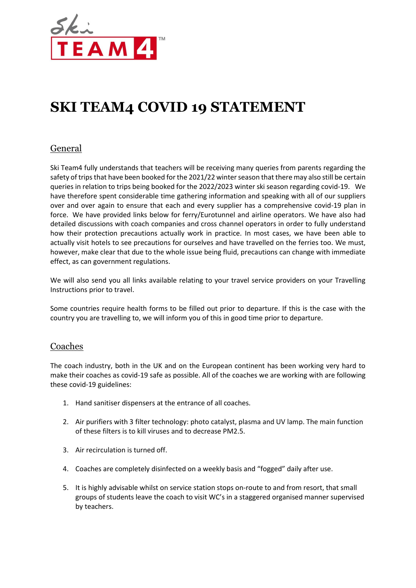

# **SKI TEAM4 COVID 19 STATEMENT**

# General

Ski Team4 fully understands that teachers will be receiving many queries from parents regarding the safety of trips that have been booked for the 2021/22 winter season that there may also still be certain queries in relation to trips being booked for the 2022/2023 winter ski season regarding covid-19. We have therefore spent considerable time gathering information and speaking with all of our suppliers over and over again to ensure that each and every supplier has a comprehensive covid-19 plan in force. We have provided links below for ferry/Eurotunnel and airline operators. We have also had detailed discussions with coach companies and cross channel operators in order to fully understand how their protection precautions actually work in practice. In most cases, we have been able to actually visit hotels to see precautions for ourselves and have travelled on the ferries too. We must, however, make clear that due to the whole issue being fluid, precautions can change with immediate effect, as can government regulations.

We will also send you all links available relating to your travel service providers on your Travelling Instructions prior to travel.

Some countries require health forms to be filled out prior to departure. If this is the case with the country you are travelling to, we will inform you of this in good time prior to departure.

#### Coaches

The coach industry, both in the UK and on the European continent has been working very hard to make their coaches as covid-19 safe as possible. All of the coaches we are working with are following these covid-19 guidelines:

- 1. Hand sanitiser dispensers at the entrance of all coaches.
- 2. Air purifiers with 3 filter technology: photo catalyst, plasma and UV lamp. The main function of these filters is to kill viruses and to decrease PM2.5.
- 3. Air recirculation is turned off.
- 4. Coaches are completely disinfected on a weekly basis and "fogged" daily after use.
- 5. It is highly advisable whilst on service station stops on-route to and from resort, that small groups of students leave the coach to visit WC's in a staggered organised manner supervised by teachers.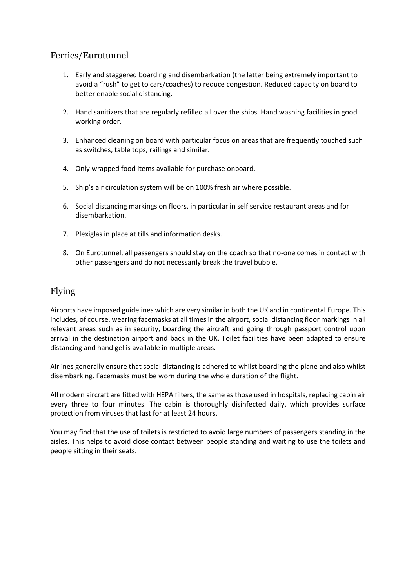## Ferries/Eurotunnel

- 1. Early and staggered boarding and disembarkation (the latter being extremely important to avoid a "rush" to get to cars/coaches) to reduce congestion. Reduced capacity on board to better enable social distancing.
- 2. Hand sanitizers that are regularly refilled all over the ships. Hand washing facilities in good working order.
- 3. Enhanced cleaning on board with particular focus on areas that are frequently touched such as switches, table tops, railings and similar.
- 4. Only wrapped food items available for purchase onboard.
- 5. Ship's air circulation system will be on 100% fresh air where possible.
- 6. Social distancing markings on floors, in particular in self service restaurant areas and for disembarkation.
- 7. Plexiglas in place at tills and information desks.
- 8. On Eurotunnel, all passengers should stay on the coach so that no-one comes in contact with other passengers and do not necessarily break the travel bubble.

## Flying

Airports have imposed guidelines which are very similar in both the UK and in continental Europe. This includes, of course, wearing facemasks at all times in the airport, social distancing floor markings in all relevant areas such as in security, boarding the aircraft and going through passport control upon arrival in the destination airport and back in the UK. Toilet facilities have been adapted to ensure distancing and hand gel is available in multiple areas.

Airlines generally ensure that social distancing is adhered to whilst boarding the plane and also whilst disembarking. Facemasks must be worn during the whole duration of the flight.

All modern aircraft are fitted with HEPA filters, the same as those used in hospitals, replacing cabin air every three to four minutes. The cabin is thoroughly disinfected daily, which provides surface protection from viruses that last for at least 24 hours.

You may find that the use of toilets is restricted to avoid large numbers of passengers standing in the aisles. This helps to avoid close contact between people standing and waiting to use the toilets and people sitting in their seats.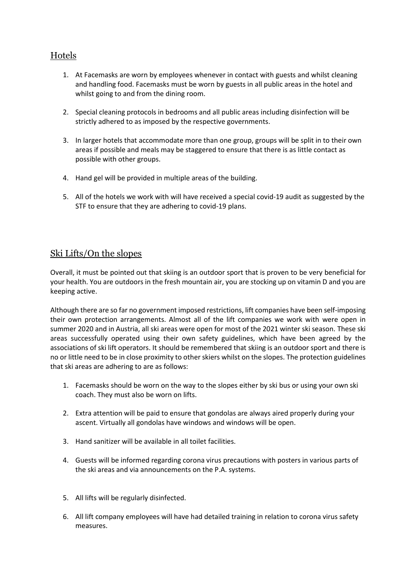# Hotels

- 1. At Facemasks are worn by employees whenever in contact with guests and whilst cleaning and handling food. Facemasks must be worn by guests in all public areas in the hotel and whilst going to and from the dining room.
- 2. Special cleaning protocols in bedrooms and all public areas including disinfection will be strictly adhered to as imposed by the respective governments.
- 3. In larger hotels that accommodate more than one group, groups will be split in to their own areas if possible and meals may be staggered to ensure that there is as little contact as possible with other groups.
- 4. Hand gel will be provided in multiple areas of the building.
- 5. All of the hotels we work with will have received a special covid-19 audit as suggested by the STF to ensure that they are adhering to covid-19 plans.

# Ski Lifts/On the slopes

Overall, it must be pointed out that skiing is an outdoor sport that is proven to be very beneficial for your health. You are outdoors in the fresh mountain air, you are stocking up on vitamin D and you are keeping active.

Although there are so far no government imposed restrictions, lift companies have been self-imposing their own protection arrangements. Almost all of the lift companies we work with were open in summer 2020 and in Austria, all ski areas were open for most of the 2021 winter ski season. These ski areas successfully operated using their own safety guidelines, which have been agreed by the associations of ski lift operators. It should be remembered that skiing is an outdoor sport and there is no or little need to be in close proximity to other skiers whilst on the slopes. The protection guidelines that ski areas are adhering to are as follows:

- 1. Facemasks should be worn on the way to the slopes either by ski bus or using your own ski coach. They must also be worn on lifts.
- 2. Extra attention will be paid to ensure that gondolas are always aired properly during your ascent. Virtually all gondolas have windows and windows will be open.
- 3. Hand sanitizer will be available in all toilet facilities.
- 4. Guests will be informed regarding corona virus precautions with posters in various parts of the ski areas and via announcements on the P.A. systems.
- 5. All lifts will be regularly disinfected.
- 6. All lift company employees will have had detailed training in relation to corona virus safety measures.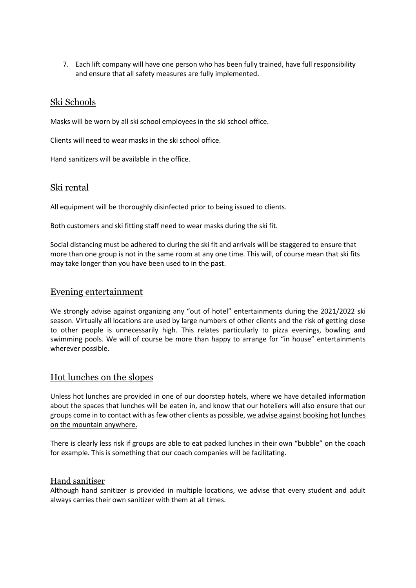7. Each lift company will have one person who has been fully trained, have full responsibility and ensure that all safety measures are fully implemented.

#### Ski Schools

Masks will be worn by all ski school employees in the ski school office.

Clients will need to wear masks in the ski school office.

Hand sanitizers will be available in the office.

#### Ski rental

All equipment will be thoroughly disinfected prior to being issued to clients.

Both customers and ski fitting staff need to wear masks during the ski fit.

Social distancing must be adhered to during the ski fit and arrivals will be staggered to ensure that more than one group is not in the same room at any one time. This will, of course mean that ski fits may take longer than you have been used to in the past.

## Evening entertainment

We strongly advise against organizing any "out of hotel" entertainments during the 2021/2022 ski season. Virtually all locations are used by large numbers of other clients and the risk of getting close to other people is unnecessarily high. This relates particularly to pizza evenings, bowling and swimming pools. We will of course be more than happy to arrange for "in house" entertainments wherever possible.

# Hot lunches on the slopes

Unless hot lunches are provided in one of our doorstep hotels, where we have detailed information about the spaces that lunches will be eaten in, and know that our hoteliers will also ensure that our groups come in to contact with as few other clients as possible, we advise against booking hot lunches on the mountain anywhere.

There is clearly less risk if groups are able to eat packed lunches in their own "bubble" on the coach for example. This is something that our coach companies will be facilitating.

#### Hand sanitiser

Although hand sanitizer is provided in multiple locations, we advise that every student and adult always carries their own sanitizer with them at all times.